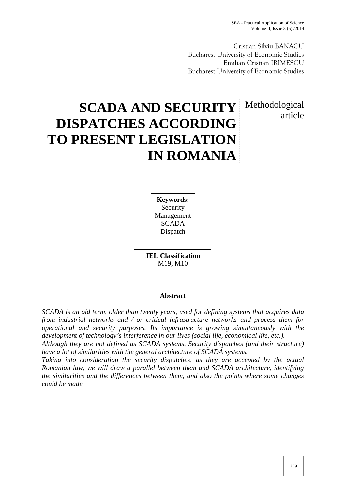article

Cristian Silviu BANACU Bucharest University of Economic Studies Emilian Cristian IRIMESCU Bucharest University of Economic Studies

# **SCADA AND SECURITY DISPATCHES ACCORDING TO PRESENT LEGISLATION IN ROMANIA** Methodological

**Keywords:** Security Management SCADA Dispatch

**JEL Classification** M19, M10

# **Abstract**

*SCADA is an old term, older than twenty years, used for defining systems that acquires data from industrial networks and / or critical infrastructure networks and process them for operational and security purposes. Its importance is growing simultaneously with the development of technology's interference in our lives (social life, economical life, etc.).*

*Although they are not defined as SCADA systems, Security dispatches (and their structure) have a lot of similarities with the general architecture of SCADA systems.*

*Taking into consideration the security dispatches, as they are accepted by the actual Romanian law, we will draw a parallel between them and SCADA architecture, identifying the similarities and the differences between them, and also the points where some changes could be made.*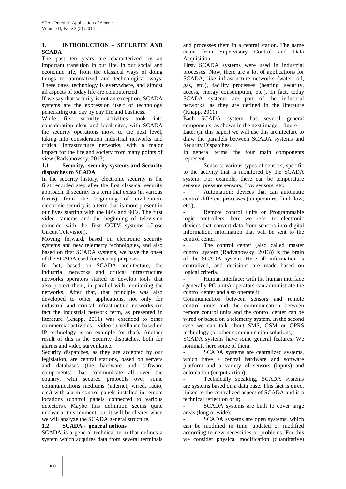## **1. INTRODUCTION – SECURITY AND SCADA**

The past ten years are characterized by an important transition in our life, in our social and economic life, from the classical ways of doing things to automatized and technological ways. These days, technology is everywhere, and almost all aspects of today life are computerized.

If we say that security is not an exception, SCADA systems are the expression itself of technology penetrating our day by day life and business.

While first security activities took into consideration clear and local sites, with SCADA the security operations move to the next level, taking into consideration industrial networks and critical infrastructure networks, with a major impact for the life and society from many points of view (Radvanovsky, 2013).

## **1.1 Security, security systems and Security dispatches to SCADA**

In the security history, electronic security is the first recorded step after the first classical security approach. If security is a term that exists (in various forms) from the beginning of civilization, electronic security is a term that is more present in our lives starting with the 80's and 90's. The first video cameras and the beginning of television coincide with the first CCTV systems (Close Circuit Television).

Moving forward, based on electronic security systems and new telemetry technologies, and also based on first SCADA systems, we have the onset of the SCADA used for security purposes.

In fact, based on SCADA architecture, the industrial networks and critical infrastructure networks operators started to develop tools that also protect them, in parallel with monitoring the networks. After that, that principle was also developed to other applications, not only for industrial and critical infrastructure networks (in fact the industrial network term, as presented in literature (Knapp, 2011) was extended to other commercial activities – video surveillance based on IP technology is an example for that). Another result of this is the Security dispatches, both for alarms and video surveillance.

Security dispatches, as they are accepted by our legislation, are central stations, based on servers and databases (the hardware and software components) that communicate all over the country, with secured protocols over some communications mediums (internet, wired, radio, etc.) with alarm control panels installed in remote locations (control panels connected to various detectors). Maybe this definition seems quite unclear at this moment, but it will be clearer when we will analyze the SCADA general structure.

## **1.2 SCADA - general notions**

SCADA is a general technical term that defines a system which acquires data from several terminals

and processes them in a central station. The name came from Supervisory Control and Data Acquisition.

First, SCADA systems were used in industrial processes. Now, there are a lot of applications for SCADA, like infrastructure networks (water, oil, gas, etc.), facility processes (heating, security, access, energy consumption, etc.). In fact, today SCADA systems are part of the industrial networks, as they are defined in the literature (Knapp, 2011).

Each SCADA system has several general components, as shown in the next image – figure 1. Later (in this paper) we will use this architecture to draw the parallels between SCADA systems and Security Dispatches.

In general terms, the four main components represent:

Sensors: various types of sensors, specific to the activity that is monitored by the SCADA system. For example, there can be temperature sensors, pressure sensors, flow sensors, etc.

- Automation: devices that can automatic control different processes (temperature, fluid flow, etc.);

Remote control units or Programmable logic controllers: here we refer to electronic devices that convert data from sensors into digital information, information that will be sent to the control center.

The control center (also called master control system (Radvanovsky, 2013)) is the brain of the SCADA system. Here all information is centralized, and decisions are made based on logical criteria.

Human interface: with the human interface (generally PC units) operators can administrate the control center and also operate it.

Communication between sensors and remote control units and the communication between remote control units and the control center can be wired or based on a telemetry system. In the second case we can talk about SMS, GSM or GPRS technology (or other communication solutions).

SCADA systems have some general features. We nominate here some of them:

SCADA systems are centralized systems, which have a central hardware and software platform and a variety of sensors (inputs) and automation (output action);

Technically speaking, SCADA systems are systems based on a data base. This fact is direct linked to the centralized aspect of SCADA and is a technical reflection of it;

SCADA systems are built to cover large areas (long or wide);

SCADA systems are open systems, which can be modified in time, updated or modified according to new necessities or problems. For this we consider physical modification (quantitative)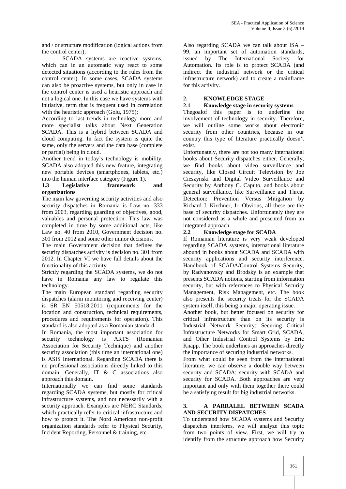and / or structure modification (logical actions from the control center);

SCADA systems are reactive systems, which can in an automatic way react to some detected situations (according to the rules from the control center). In some cases, SCADA systems can also be proactive systems, but only in case in the control center is used a heuristic approach and not a logical one. In this case we have systems with 2. initiative, term that is frequent used in correlation 2.1 with the heuristic approach (Golu, 1975);

According to last trends in technology more and more specialist talks about Next Generation SCADA. This is a hybrid between SCADA and cloud computing. In fact the system is quite the same, only the servers and the data base (complete or partial) being in cloud.

Another trend in today's technology is mobility. SCADA also adopted this new feature, integrating new portable devices (smartphones, tablets, etc.) into the human interface category (Figure 1).

### **1.3 Legislative framework and organizations**

The main law governing security activities and also security dispatches in Romania is Law no. 333 from 2003, regarding guarding of objectives, good, valuables and personal protection. This law was completed in time by some additional acts, like Law no. 40 from 2010, Government decision no. 301 from 2012 and some other minor decisions.

The main Government decision that defines the security dispatches activity is decision no. 301 from 2012. In Chapter VI we have full details about the functionality of this activity.

Strictly regarding the SCADA systems, we do not have in Romania any law to regulate this technology.

The main European standard regarding security dispatches (alarm monitoring and receiving center) is SR EN 50518:2011 (requirements for the location and construction, technical requirements, procedures and requirements for operation). This standard is also adopted as a Romanian standard.

In Romania, the most important association for security technology is ARTS (Romanian Association for Security Technique) and another security association (this time an international one) is ASIS International. Regarding SCADA there is no professional associations directly linked to this domain. Generally, IT & C associations also approach this domain.

Internationally we can find some standards regarding SCADA systems, but mostly for critical infrastructure systems, and not necessarily with a security approach. Examples are NERC Standards, which practically refer to critical infrastructure and how to protect it. The Nord American non-profit organization standards refer to Physical Security, Incident Reporting, Personnel & training, etc.

Also regarding SCADA we can talk about ISA – 99, an important set of automation standards, issued by The International Society for Automation. Its role is to protect SCADA (and indirect the industrial network or the critical infrastructure network) and to create a mainframe for this activity.

# **2. KNOWLEDGE STAGE**

# **2.1 Knowledge stage in security systems**

Thegoalof this paper is to underline the involvement of technology in security. Therefore, we will outline some works about electronic security from other countries, because in our country this type of literature practically doesn't exist.

Unfortunately, there are not too many international books about Security dispatches either. Generally, we find books about video surveillance and security, like Closed Circuit Television by Joe Cieszynski and Digital Video Surveillance and Security by Anthony C. Caputo, and books about general surveillance, like Surveillance and Threat Detection: Prevention Versus Mitigation by Richard J. Kirchner, Jr. Obvious, all these are the base of security dispatches. Unfortunately they are not considered as a whole and presented from an integrated approach.

#### **2.2 Knowledge stage for SCADA**

If Romanian literature is very weak developed regarding SCADA systems, international literature abound in books about SCADA and SCADA with security applications and security interference. Handbook of SCADA/Control Systems Security, by Radvanovsky and Brodsky is an example that presents SCADA notions, starting from information security, but with references to Physical Security Management, Risk Management, etc. The book also presents the security treats for the SCADA system itself, this being a major operating issue.

Another book, but better focused on security for critical infrastructure than on its security is Industrial Network Security: Securing Critical Infrastructure Networks for Smart Grid, SCADA, and Other Industrial Control Systems by Eric Knapp. The book underlines an approaches directly the importance of securing industrial networks.

From what could be seen from the international literature, we can observe a double way between security and SCADA: security with SCADA and security for SCADA. Both approaches are very important and only with them together there could be a satisfying result for big industrial networks.

#### **3. A PARRALEL BETWEEN SCADA AND SECURITY DISPATCHES**

To understand how SCADA systems and Security dispatches interferes, we will analyze this topic from two points of view. First, we will try to identify from the structure approach how Security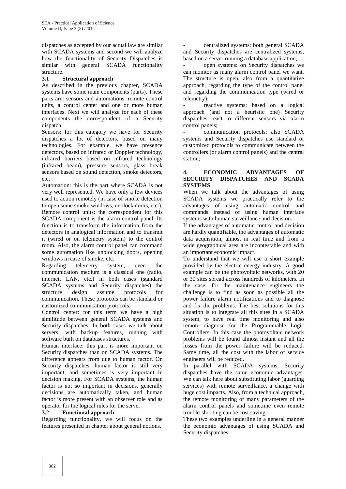dispatches as accepted by our actual law are similar with SCADA systems and second we will analyze how the functionality of Security Dispatches is similar with general SCADA functionality structure.

#### **3.1 Structural approach**

As described in the previous chapter, SCADA systems have some main components (parts). These parts are: sensors and automations, remote control units, a control center and one or more human interfaces. Next we will analyze for each of these components the correspondent of a Security dispatch.

Sensors: for this category we have for Security dispatches a lot of detectors, based on many technologies. For example, we have presence detectors, based on infrared or Doppler technology, infrared barriers based on infrared technology (infrared beam), pressure sensors, glass break sensors based on sound detection, smoke detectors, etc.

Automation: this is the part where SCADA is not very well represented. We have only a few devices used to action remotely (in case of smoke detection to open some smoke windows, unblock doors, etc.). Remote control units: the correspondent for this SCADA component is the alarm control panel. Its function is to transform the information from the detectors in analogical information and to transmit it (wired or on telemetry system) to the control room. Also, the alarm control panel can command some automation like unblocking doors, opening windows in case of smoke, etc.

Regarding telemetry system, even the communication medium is a classical one (radio, internet, LAN, etc.) in both cases (standard SCADA systems and Security dispatches) the structure design assume protocols for communication. These protocols can be standard or customized communication protocols.

Control center: for this term we have a high similitude between general SCADA systems and Security dispatches. In both cases we talk about servers, with backup features, running with software built on databases structures.

Human interface: this part is more important on Security dispatches than on SCADA systems. The difference appears from due to human factor. On Security dispatches, human factor is still very important, and sometimes is very important in decision making. For SCADA systems, the human factor is not so important in decisions, generally decisions are automatically taken, and human factor is more present with an observer role and as operator for the logical rules for the server.

#### **3.2 Functional approach**

Regarding functionality, we will focus on the features presented in chapter about general notions.

centralized systems: both general SCADA and Security dispatches are centralized systems, based on a server running a database application;

open systems: on Security dispatches we can monitor as many alarm control panel we want. The structure is open, also from a quantitative approach, regarding the type of the control panel and regarding the communication type (wired or telemetry);

reactive systems: based on a logical approach (and not a heuristic one) Security dispatches react to different sensors via alarm control panels;

communication protocols: also SCADA systems and Security dispatches use standard or customized protocols to communicate between the controllers (or alarm control panels) and the central station;

## **4. ECONOMIC ADVANTAGES OF SECURITY DISPATCHES AND SCADA SYSTEMS**

When we talk about the advantages of using SCADA systems we practically refer to the advantages of using automatic control and commands instead of using human interface systems with human surveillance and decision.

If the advantages of automatic control and decision are hardly quantifiable, the advantages of automatic data acquisition, almost in real time and from a wide geographical area are incontestable and with an important economic impact.

To understand that we will use a short example provided by the electric energy industry. A good example can be the photovoltaic networks, with 20 or 30 sites spread across hundreds of kilometers. In the case, for the maintenance engineers the challenge is to find as soon as possible all the power failure alarm notifications and to diagnose and fix the problems. The best solutions for this situation is to integrate all this sites in a SCADA system, to have real time monitoring and also remote diagnose for the Programmable Logic Controllers. In this case the photovoltaic network problems will be found almost instant and all the losses from the power failure will be reduced. Same time, all the cost with the labor of service engineers will be reduced.

In parallel with SCADA systems, Security dispatches have the same economic advantages. We can talk here about substituting labor (guarding) services) with remote surveillance, a change with huge cost impacts. Also, from a technical approach, the remote monitoring of many parameters of the alarm control panels and sometime even remote trouble-shooting can be cost saving.

These two examples underline in a general manner the economic advantages of using SCADA and Security dispatches.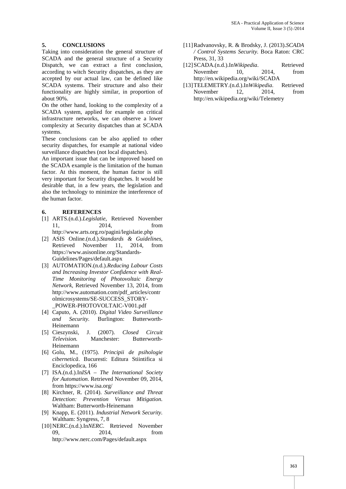# **5. CONCLUSIONS**

Taking into consideration the general structure of SCADA and the general structure of a Security Dispatch, we can extract a first conclusion, according to witch Security dispatches, as they are accepted by our actual law, can be defined like SCADA systems. Their structure and also their functionality are highly similar, in proportion of about 90%.

On the other hand, looking to the complexity of a SCADA system, applied for example on critical infrastructure networks, we can observe a lower complexity at Security dispatches than at SCADA systems.

These conclusions can be also applied to other security dispatches, for example at national video surveillance dispatches (not local dispatches).

An important issue that can be improved based on the SCADA example is the limitation of the human factor. At this moment, the human factor is still very important for Security dispatches. It would be desirable that, in a few years, the legislation and also the technology to minimize the interference of the human factor.

#### **6. REFERENCES**

- [1] ARTS.(n.d.).*Legislatie,* Retrieved November 11, 2014, from http://www.arts.org.ro/pagini/legislatie.php
- [2] ASIS Online.(n.d.).*Standards & Guidelines,* Retrieved November 11, 2014, from https://www.asisonline.org/Standards- Guidelines/Pages/default.aspx
- [3] AUTOMATION.(n.d.).*Reducing Labour Costs and Increasing Investor Confidence with Real- Time Monitoring of Photovoltaic Energy Network,* Retrieved November 13, 2014, from http://www.automation.com/pdf\_articles/contr olmicrosystems/SE-SUCCESS\_STORY- \_POWER-PHOTOVOLTAIC-V001.pdf
- [4] Caputo, A. (2010). *Digital Video Surveillance and Security.* Burlington: Butterworth- Heinemann
- [5] Cieszynski, J. (2007). *Closed Circuit Television.* Manchester: Butterworth- Heinemann
- [6] Golu, M., (1975). *Principii de psihologie cibernetică*. Bucuresti: Editura Stiintifica si Enciclopedica, 166
- [7] ISA.(n.d.).In*ISA – The International Society for Automation*. Retrieved November 09, 2014, from https://www.isa.org/
- [8] Kirchner, R. (2014). *Surveillance and Threat Detection: Prevention Versus Mitigation.* Waltham: Butterworth-Heinemann
- [9] Knapp, E. (2011). *Industrial Network Security.* Waltham: Syngress, 7, 8
- [10]NERC.(n.d.).In*NERC*. Retrieved November 09, 2014, from http://www.nerc.com/Pages/default.aspx
- [11]Radvanovsky, R. & Brodsky, J. (2013).*SCADA / Control Systems Security.* Boca Raton: CRC Press, 31, 33
- [12]SCADA.(n.d.).In*Wikipedia*. Retrieved November 10, 2014, from http://en.wikipedia.org/wiki/SCADA
- [13]TELEMETRY.(n.d.).In*Wikipedia*. Retrieved November 12, 2014, from http://en.wikipedia.org/wiki/Telemetry